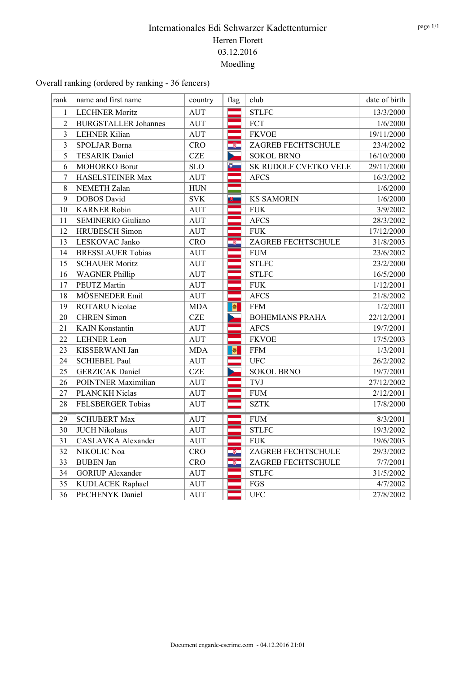Overall ranking (ordered by ranking - 36 fencers)

| rank           | name and first name         | country     | flag                                                                                                                  | club                   | date of birth |
|----------------|-----------------------------|-------------|-----------------------------------------------------------------------------------------------------------------------|------------------------|---------------|
| 1              | <b>LECHNER Moritz</b>       | <b>AUT</b>  | ÷                                                                                                                     | <b>STLFC</b>           | 13/3/2000     |
| $\overline{2}$ | <b>BURGSTALLER Johannes</b> | <b>AUT</b>  | ═                                                                                                                     | FCT                    | 1/6/2000      |
| 3              | <b>LEHNER Kilian</b>        | <b>AUT</b>  | ═                                                                                                                     | <b>FKVOE</b>           | 19/11/2000    |
| 3              | SPOLJAR Borna               | <b>CRO</b>  | -84                                                                                                                   | ZAGREB FECHTSCHULE     | 23/4/2002     |
| 5              | <b>TESARIK Daniel</b>       | <b>CZE</b>  | ь                                                                                                                     | <b>SOKOL BRNO</b>      | 16/10/2000    |
| 6              | MOHORKO Borut               | <b>SLO</b>  | $\ddot{\bullet}$                                                                                                      | SK RUDOLF CVETKO VELE  | 29/11/2000    |
| 7              | HASELSTEINER Max            | <b>AUT</b>  |                                                                                                                       | <b>AFCS</b>            | 16/3/2002     |
| 8              | NEMETH Zalan                | ${\rm HUN}$ |                                                                                                                       |                        | 1/6/2000      |
| 9              | <b>DOBOS</b> David          | <b>SVK</b>  | $\overline{\mathbf{v}}$                                                                                               | <b>KS SAMORIN</b>      | 1/6/2000      |
| 10             | <b>KARNER Robin</b>         | <b>AUT</b>  | ست                                                                                                                    | <b>FUK</b>             | 3/9/2002      |
| 11             | <b>SEMINERIO Giuliano</b>   | <b>AUT</b>  |                                                                                                                       | <b>AFCS</b>            | 28/3/2002     |
| 12             | <b>HRUBESCH</b> Simon       | <b>AUT</b>  |                                                                                                                       | <b>FUK</b>             | 17/12/2000    |
| 13             | LESKOVAC Janko              | <b>CRO</b>  | $\bullet$                                                                                                             | ZAGREB FECHTSCHULE     | 31/8/2003     |
| 14             | <b>BRESSLAUER Tobias</b>    | <b>AUT</b>  |                                                                                                                       | <b>FUM</b>             | 23/6/2002     |
| 15             | <b>SCHAUER Moritz</b>       | <b>AUT</b>  |                                                                                                                       | <b>STLFC</b>           | 23/2/2000     |
| 16             | <b>WAGNER Phillip</b>       | <b>AUT</b>  |                                                                                                                       | <b>STLFC</b>           | 16/5/2000     |
| 17             | PEUTZ Martin                | <b>AUT</b>  |                                                                                                                       | <b>FUK</b>             | 1/12/2001     |
| 18             | MÖSENEDER Emil              | <b>AUT</b>  | <b>The Contract of the Contract of the Contract of the Contract of the Contract of the Contract of the Contract o</b> | <b>AFCS</b>            | 21/8/2002     |
| 19             | ROTARU Nicolae              | <b>MDA</b>  | $\pmb{\theta}$                                                                                                        | <b>FFM</b>             | 1/2/2001      |
| 20             | <b>CHREN</b> Simon          | <b>CZE</b>  |                                                                                                                       | <b>BOHEMIANS PRAHA</b> | 22/12/2001    |
| 21             | <b>KAIN</b> Konstantin      | <b>AUT</b>  |                                                                                                                       | <b>AFCS</b>            | 19/7/2001     |
| 22             | <b>LEHNER</b> Leon          | <b>AUT</b>  |                                                                                                                       | <b>FKVOE</b>           | 17/5/2003     |
| 23             | KISSERWANI Jan              | <b>MDA</b>  | ø                                                                                                                     | <b>FFM</b>             | 1/3/2001      |
| 24             | <b>SCHIEBEL Paul</b>        | <b>AUT</b>  |                                                                                                                       | <b>UFC</b>             | 26/2/2002     |
| 25             | <b>GERZICAK</b> Daniel      | <b>CZE</b>  |                                                                                                                       | <b>SOKOL BRNO</b>      | 19/7/2001     |
| 26             | POINTNER Maximilian         | <b>AUT</b>  |                                                                                                                       | <b>TVJ</b>             | 27/12/2002    |
| 27             | PLANCKH Niclas              | <b>AUT</b>  |                                                                                                                       | <b>FUM</b>             | 2/12/2001     |
| 28             | FELSBERGER Tobias           | <b>AUT</b>  |                                                                                                                       | <b>SZTK</b>            | 17/8/2000     |
| 29             | <b>SCHUBERT Max</b>         | <b>AUT</b>  |                                                                                                                       | <b>FUM</b>             | 8/3/2001      |
| 30             | <b>JUCH Nikolaus</b>        | <b>AUT</b>  |                                                                                                                       | <b>STLFC</b>           | 19/3/2002     |
| 31             | CASLAVKA Alexander          | <b>AUT</b>  |                                                                                                                       | <b>FUK</b>             | 19/6/2003     |
| 32             | NIKOLIC Noa                 | <b>CRO</b>  | $\bullet$                                                                                                             | ZAGREB FECHTSCHULE     | 29/3/2002     |
| 33             | <b>BUBEN Jan</b>            | <b>CRO</b>  | $\bullet$                                                                                                             | ZAGREB FECHTSCHULE     | 7/7/2001      |
| 34             | <b>GORIUP</b> Alexander     | <b>AUT</b>  |                                                                                                                       | <b>STLFC</b>           | 31/5/2002     |
| 35             | KUDLACEK Raphael            | <b>AUT</b>  |                                                                                                                       | FGS                    | 4/7/2002      |
| 36             | PECHENYK Daniel             | <b>AUT</b>  |                                                                                                                       | <b>UFC</b>             | 27/8/2002     |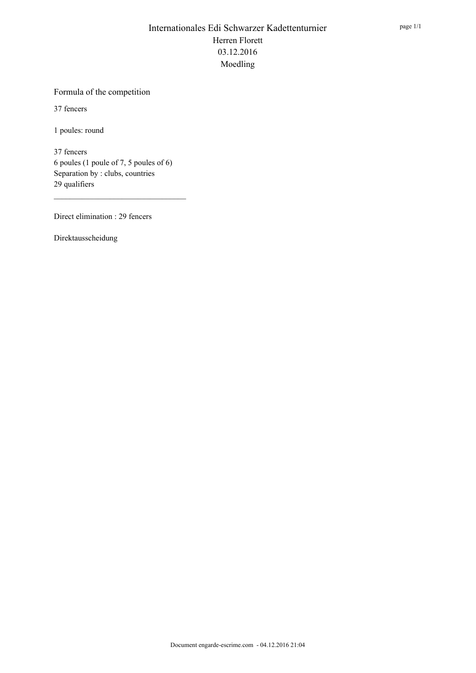#### Formula of the competition

37 fencers

1 poules: round

37 fencers 6 poules (1 poule of 7, 5 poules of 6) Separation by : clubs, countries 29 qualifiers

Direct elimination : 29 fencers

Direktausscheidung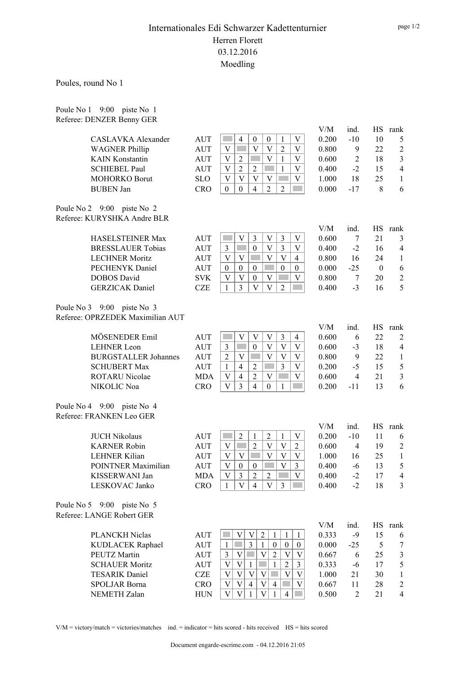Poules, round No 1

Poule No 1 9:00 piste No 1 Referee: DENZER Benny GER

|                                                           |                                  |            |                                             |                               |                                             |                           | V/M   | ind.           | HS       | rank                     |
|-----------------------------------------------------------|----------------------------------|------------|---------------------------------------------|-------------------------------|---------------------------------------------|---------------------------|-------|----------------|----------|--------------------------|
|                                                           | CASLAVKA Alexander               | <b>AUT</b> | $\overline{4}$                              | $\boldsymbol{0}$              | $\boldsymbol{0}$<br>1                       | V                         | 0.200 | $-10$          | 10       | 5                        |
|                                                           | <b>WAGNER Phillip</b>            | <b>AUT</b> | V                                           | $\ensuremath{\mathbf{V}}$     | V<br>$\overline{2}$                         | V                         | 0.800 | 9              | 22       | $\overline{c}$           |
|                                                           | <b>KAIN</b> Konstantin           | <b>AUT</b> | V<br>$\overline{2}$                         |                               | V<br>$\mathbf{1}$                           | V                         | 0.600 | 2              | 18       | 3                        |
|                                                           | <b>SCHIEBEL Paul</b>             | <b>AUT</b> | V<br>$\overline{2}$                         | $\overline{2}$                | <b>Common</b><br>$\mathbf{1}$               | V                         | 0.400 | $-2$           | 15       | $\overline{4}$           |
|                                                           | MOHORKO Borut                    | <b>SLO</b> | V<br>V                                      | V                             | $\mathbf V$                                 | V                         | 1.000 | 18             | 25       | 1                        |
| <b>BUBEN Jan</b>                                          |                                  | <b>CRO</b> | $\theta$<br>$\boldsymbol{0}$                | $\overline{4}$                | $\overline{2}$<br>$\overline{2}$            |                           | 0.000 | $-17$          | $\,8\,$  | 6                        |
| Poule No 2 9:00 piste No 2<br>Referee: KURYSHKA Andre BLR |                                  |            |                                             |                               |                                             |                           |       |                |          |                          |
|                                                           |                                  |            |                                             |                               |                                             |                           | V/M   | ind.           | HS       | rank                     |
|                                                           | <b>HASELSTEINER Max</b>          | <b>AUT</b> | V                                           | $\mathfrak{Z}$                | V<br>3                                      | V                         | 0.600 | 7              | 21       | 3                        |
|                                                           | <b>BRESSLAUER Tobias</b>         | <b>AUT</b> | $\mathfrak{Z}$                              | $\boldsymbol{0}$              | $\overline{\mathbf{3}}$<br>V                | V                         | 0.400 | $-2$           | 16       | $\overline{4}$           |
|                                                           | <b>LECHNER Moritz</b>            | <b>AUT</b> | $\mathbf V$<br>V                            |                               | $\mathbf V$<br>$\overline{\mathbf{V}}$      | $\overline{4}$            | 0.800 | 16             | 24       | $\mathbf{1}$             |
|                                                           | PECHENYK Daniel                  | <b>AUT</b> | $\boldsymbol{0}$<br>$\boldsymbol{0}$        | $\boldsymbol{0}$              | $\boldsymbol{0}$                            | $\boldsymbol{0}$          | 0.000 | $-25$          | $\bf{0}$ | 6                        |
| <b>DOBOS</b> David                                        |                                  | <b>SVK</b> | V<br>V                                      | $\boldsymbol{0}$              | $\ensuremath{\mathbf{V}}$                   | V                         | 0.800 | 7              | 20       | $\overline{\mathbf{c}}$  |
|                                                           | <b>GERZICAK</b> Daniel           | <b>CZE</b> | $\overline{3}$<br>$\mathbf{1}$              | $\ensuremath{\mathbf{V}}$     | $\ensuremath{\mathbf{V}}$<br>$\overline{2}$ |                           | 0.400 | $-3$           | 16       | 5                        |
|                                                           |                                  |            |                                             |                               |                                             |                           |       |                |          |                          |
| Poule No 3 9:00 piste No 3                                |                                  |            |                                             |                               |                                             |                           |       |                |          |                          |
|                                                           | Referee: OPRZEDEK Maximilian AUT |            |                                             |                               |                                             |                           |       |                |          |                          |
|                                                           |                                  |            |                                             |                               |                                             |                           | V/M   | ind.           | HS       | rank                     |
|                                                           | MÖSENEDER Emil                   | <b>AUT</b> | V                                           | $\ensuremath{\mathbf{V}}$     | $\mathfrak{Z}$<br>V                         | $\overline{4}$            | 0.600 | 6              | 22       | $\overline{c}$           |
| <b>LEHNER</b> Leon                                        |                                  | <b>AUT</b> | $\overline{3}$<br><b>College</b>            | $\boldsymbol{0}$              | $\mathbf V$<br>$\mathbf V$                  | V                         | 0.600 | $-3$           | 18       | $\overline{4}$           |
|                                                           | <b>BURGSTALLER Johannes</b>      | AUT        | $\ensuremath{\mathbf{V}}$<br>$\overline{2}$ | <b>Contract</b>               | $\mathbf V$<br>$\mathbf V$                  | $\mathbf V$               | 0.800 | 9              | 22       | $\mathbf{1}$             |
|                                                           | <b>SCHUBERT Max</b>              | AUT        | $\overline{4}$<br>$\mathbf{1}$              | $\sqrt{2}$                    | $\overline{\mathbf{3}}$<br><b>College</b>   | $\ensuremath{\mathbf{V}}$ | 0.200 | $-5$           | 15       | 5                        |
|                                                           | ROTARU Nicolae                   | <b>MDA</b> | $\overline{4}$<br>V                         | $\overline{2}$                | $\ensuremath{\mathbf{V}}$                   | V                         | 0.600 | $\overline{4}$ | 21       | 3                        |
| NIKOLIC Noa                                               |                                  | <b>CRO</b> | 3<br>V                                      | $\overline{4}$                | $\mathbf{0}$<br>1                           |                           | 0.200 | $-11$          | 13       | 6                        |
| Poule No 4 9:00 piste No 4                                |                                  |            |                                             |                               |                                             |                           |       |                |          |                          |
| Referee: FRANKEN Leo GER                                  |                                  |            |                                             |                               |                                             |                           |       |                |          |                          |
|                                                           |                                  |            |                                             |                               |                                             |                           | V/M   | ind.           | HS       | rank                     |
| <b>JUCH Nikolaus</b>                                      |                                  | <b>AUT</b> | $\overline{2}$                              | $\mathbf{1}$                  | $\overline{2}$<br>$\mathbf{1}$              | V                         | 0.200 | $-10$          | 11       | 6                        |
|                                                           | <b>KARNER Robin</b>              | <b>AUT</b> | $\boldsymbol{\mathrm{V}}$                   | $\overline{2}$                | V<br>V                                      | $\overline{2}$            | 0.600 | 4              | 19       | $\overline{\mathbf{c}}$  |
| <b>LEHNER Kilian</b>                                      |                                  | <b>AUT</b> | V<br>V                                      | <b>Contract</b>               | V<br>V                                      | V                         | 1.000 | 16             | 25       | $\mathbf{1}$             |
|                                                           | POINTNER Maximilian              | <b>AUT</b> | V<br>$\boldsymbol{0}$                       | $\mathbf{0}$                  | V                                           | 3                         | 0.400 | -6             | 13       | 5                        |
|                                                           | KISSERWANI Jan                   | <b>MDA</b> | 3<br>V                                      | $\overline{2}$                | $\overline{2}$                              | $\mathbf V$               | 0.400 | $-2$           | 17       | $\overline{4}$           |
|                                                           | LESKOVAC Janko                   | <b>CRO</b> | V <sub>1</sub><br>1                         | $\overline{4}$                | $\mathfrak{Z}$<br>V                         |                           | 0.400 | $-2$           | 18       | 3                        |
|                                                           |                                  |            |                                             |                               |                                             |                           |       |                |          |                          |
| Poule No 5 9:00 piste No 5<br>Referee: LANGE Robert GER   |                                  |            |                                             |                               |                                             |                           |       |                |          |                          |
|                                                           |                                  |            |                                             |                               |                                             |                           | V/M   | ind.           | HS       | rank                     |
|                                                           | PLANCKH Niclas                   | <b>AUT</b> | V                                           | $\overline{2}$<br>V           | 1<br>1                                      | 1                         | 0.333 | $-9$           | 15       | 6                        |
|                                                           | KUDLACEK Raphael                 | AUT        | $\mathbf{1}$                                | 3<br>1                        | $\boldsymbol{0}$<br>$\boldsymbol{0}$        | $\boldsymbol{0}$          | 0.000 | $-25$          | 5        | 7                        |
| PEUTZ Martin                                              |                                  | <b>AUT</b> | $\mathfrak{Z}$<br>V                         | $\mathbf V$<br><b>College</b> | $\overline{2}$<br>V                         | V                         | 0.667 | 6              | 25       | 3                        |
|                                                           | <b>SCHAUER Moritz</b>            | <b>AUT</b> | $\mathbf V$<br>V                            | $\mathbf{1}$                  | $\sqrt{2}$<br>1                             | $\mathfrak{Z}$            | 0.333 | -6             | 17       | 5                        |
|                                                           | <b>TESARIK</b> Daniel            | <b>CZE</b> | $\boldsymbol{\mathrm{V}}$<br>V              | V<br> V                       | V                                           | V                         | 1.000 | 21             | 30       | 1                        |
|                                                           | SPOLJAR Borna                    | <b>CRO</b> | V<br>V                                      | $\overline{4}$<br>V           | $\overline{4}$                              | V                         | 0.667 | 11             | 28       | $\overline{\mathbf{c}}$  |
|                                                           | NEMETH Zalan                     | <b>HUN</b> | $\ensuremath{\mathbf{V}}$<br>V              | V<br>1                        | 1<br>$\overline{4}$                         |                           | 0.500 | $\overline{2}$ | 21       | $\overline{\mathcal{A}}$ |
|                                                           |                                  |            |                                             |                               |                                             |                           |       |                |          |                          |

page 1/2

 $V/M =$  victory/match = victories/matches ind. = indicator = hits scored - hits received  $HS =$  hits scored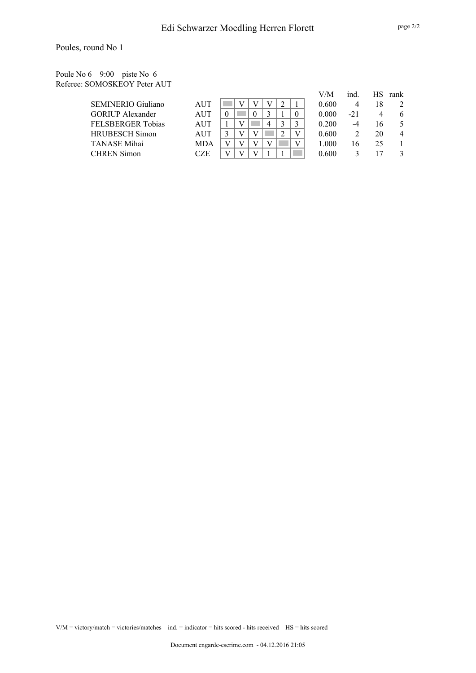#### Poule No 6 9:00 piste No 6 Referee: SOMOSKEOY Peter AUT

|                         |            |  |   |  | V/M   | ind.  |    | HS rank |
|-------------------------|------------|--|---|--|-------|-------|----|---------|
| SEMINERIO Giuliano      | AUT        |  |   |  | 0.600 | 4     | 18 |         |
| <b>GORIUP</b> Alexander | AUT        |  |   |  | 0.000 | $-21$ |    | 6       |
| FELSBERGER Tobias       | AUT        |  | 4 |  | 0.200 | -4    | I6 |         |
| HRUBESCH Simon          | AUT        |  |   |  | 0.600 |       | 20 | 4       |
| TANASE Mihai            | <b>MDA</b> |  |   |  | 1.000 | 16    | 25 |         |
| <b>CHREN Simon</b>      | CZE        |  |   |  | 0.600 |       |    |         |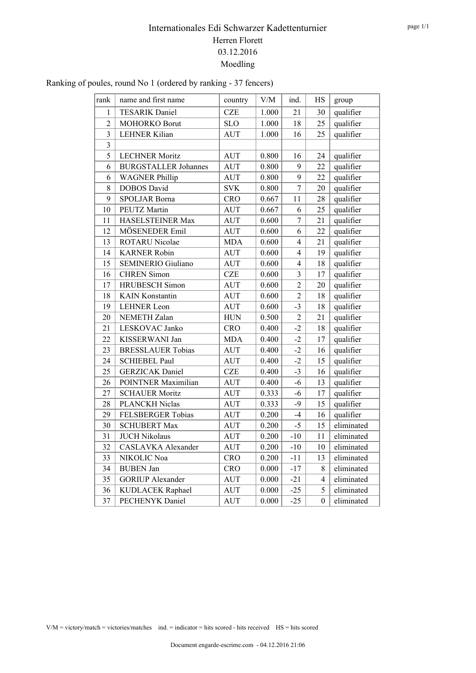#### Ranking of poules, round No 1 (ordered by ranking - 37 fencers)

| rank           | name and first name         | country     | $\rm V/M$ | ind.           | $\rm HS$         | group      |
|----------------|-----------------------------|-------------|-----------|----------------|------------------|------------|
| 1              | <b>TESARIK Daniel</b>       | <b>CZE</b>  | 1.000     | 21             | 30               | qualifier  |
| $\overline{2}$ | MOHORKO Borut               | <b>SLO</b>  | 1.000     | 18             | 25               | qualifier  |
| $\overline{3}$ | <b>LEHNER Kilian</b>        | <b>AUT</b>  | 1.000     | 16             | 25               | qualifier  |
| $\overline{3}$ |                             |             |           |                |                  |            |
| 5              | <b>LECHNER Moritz</b>       | <b>AUT</b>  | 0.800     | 16             | 24               | qualifier  |
| 6              | <b>BURGSTALLER Johannes</b> | <b>AUT</b>  | 0.800     | 9              | 22               | qualifier  |
| 6              | <b>WAGNER Phillip</b>       | <b>AUT</b>  | 0.800     | 9              | 22               | qualifier  |
| 8              | <b>DOBOS</b> David          | <b>SVK</b>  | 0.800     | $\overline{7}$ | 20               | qualifier  |
| 9              | <b>SPOLJAR Borna</b>        | <b>CRO</b>  | 0.667     | 11             | 28               | qualifier  |
| 10             | <b>PEUTZ Martin</b>         | <b>AUT</b>  | 0.667     | 6              | 25               | qualifier  |
| 11             | HASELSTEINER Max            | <b>AUT</b>  | 0.600     | 7              | 21               | qualifier  |
| 12             | MÖSENEDER Emil              | <b>AUT</b>  | 0.600     | 6              | 22               | qualifier  |
| 13             | ROTARU Nicolae              | <b>MDA</b>  | 0.600     | $\overline{4}$ | 21               | qualifier  |
| 14             | <b>KARNER Robin</b>         | AUT         | 0.600     | $\overline{4}$ | 19               | qualifier  |
| 15             | <b>SEMINERIO Giuliano</b>   | <b>AUT</b>  | 0.600     | $\overline{4}$ | 18               | qualifier  |
| 16             | <b>CHREN Simon</b>          | <b>CZE</b>  | 0.600     | $\overline{3}$ | 17               | qualifier  |
| 17             | <b>HRUBESCH</b> Simon       | <b>AUT</b>  | 0.600     | $\overline{2}$ | 20               | qualifier  |
| 18             | <b>KAIN</b> Konstantin      | <b>AUT</b>  | 0.600     | $\overline{2}$ | 18               | qualifier  |
| 19             | <b>LEHNER Leon</b>          | <b>AUT</b>  | 0.600     | $-3$           | $18\,$           | qualifier  |
| 20             | <b>NEMETH Zalan</b>         | ${\rm HUN}$ | 0.500     | $\overline{2}$ | 21               | qualifier  |
| 21             | LESKOVAC Janko              | <b>CRO</b>  | 0.400     | $-2$           | 18               | qualifier  |
| 22             | KISSERWANI Jan              | <b>MDA</b>  | 0.400     | $-2$           | 17               | qualifier  |
| 23             | <b>BRESSLAUER Tobias</b>    | <b>AUT</b>  | 0.400     | $-2$           | 16               | qualifier  |
| 24             | <b>SCHIEBEL Paul</b>        | <b>AUT</b>  | 0.400     | $-2$           | 15               | qualifier  |
| 25             | <b>GERZICAK</b> Daniel      | <b>CZE</b>  | 0.400     | $-3$           | 16               | qualifier  |
| 26             | <b>POINTNER Maximilian</b>  | <b>AUT</b>  | 0.400     | $-6$           | 13               | qualifier  |
| 27             | <b>SCHAUER Moritz</b>       | <b>AUT</b>  | 0.333     | $-6$           | 17               | qualifier  |
| 28             | <b>PLANCKH Niclas</b>       | <b>AUT</b>  | 0.333     | $-9$           | 15               | qualifier  |
| 29             | FELSBERGER Tobias           | <b>AUT</b>  | 0.200     | $-4$           | 16               | qualifier  |
| 30             | <b>SCHUBERT Max</b>         | <b>AUT</b>  | 0.200     | $-5$           | 15               | eliminated |
| 31             | <b>JUCH Nikolaus</b>        | <b>AUT</b>  | 0.200     | $-10$          | 11               | eliminated |
| 32             | <b>CASLAVKA</b> Alexander   | <b>AUT</b>  | 0.200     | $-10$          | 10               | eliminated |
| 33             | NIKOLIC Noa                 | <b>CRO</b>  | 0.200     | $-11$          | 13               | eliminated |
| 34             | <b>BUBEN Jan</b>            | CRO         | 0.000     | $-17$          | 8                | eliminated |
| 35             | <b>GORIUP</b> Alexander     | <b>AUT</b>  | 0.000     | $-21$          | 4                | eliminated |
| 36             | KUDLACEK Raphael            | <b>AUT</b>  | 0.000     | $-25$          | 5                | eliminated |
| 37             | <b>PECHENYK</b> Daniel      | <b>AUT</b>  | 0.000     | $-25$          | $\boldsymbol{0}$ | eliminated |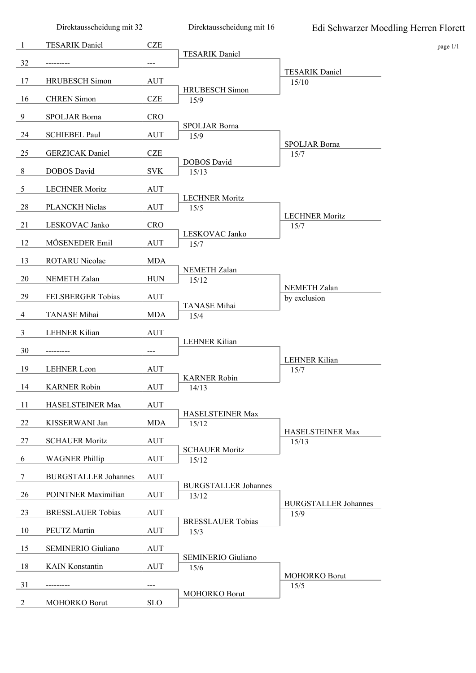Direktausscheidung mit 32

Direktausscheidung mit 16

| -1             | <b>TESARIK Daniel</b>       | <b>CZE</b>          |                                |                                     | page 1/1 |
|----------------|-----------------------------|---------------------|--------------------------------|-------------------------------------|----------|
| 32             | ---------                   | $---$               | <b>TESARIK Daniel</b>          |                                     |          |
|                |                             |                     |                                | <b>TESARIK Daniel</b>               |          |
| 17             | <b>HRUBESCH</b> Simon       | <b>AUT</b>          | <b>HRUBESCH</b> Simon          | 15/10                               |          |
| 16             | <b>CHREN</b> Simon          | CZE                 | 15/9                           |                                     |          |
| 9              | SPOLJAR Borna               | <b>CRO</b>          |                                |                                     |          |
| 24             | <b>SCHIEBEL Paul</b>        | <b>AUT</b>          | SPOLJAR Borna<br>15/9          |                                     |          |
| 25             | <b>GERZICAK</b> Daniel      | <b>CZE</b>          |                                | SPOLJAR Borna<br>15/7               |          |
|                |                             |                     | <b>DOBOS</b> David             |                                     |          |
| 8              | <b>DOBOS</b> David          | <b>SVK</b>          | 15/13                          |                                     |          |
| $\overline{5}$ | <b>LECHNER Moritz</b>       | <b>AUT</b>          | <b>LECHNER Moritz</b>          |                                     |          |
| 28             | PLANCKH Niclas              | <b>AUT</b>          | 15/5                           |                                     |          |
| 21             | LESKOVAC Janko              | <b>CRO</b>          |                                | <b>LECHNER Moritz</b><br>15/7       |          |
|                |                             |                     | LESKOVAC Janko                 |                                     |          |
| 12             | MÖSENEDER Emil              | <b>AUT</b>          | 15/7                           |                                     |          |
| 13             | ROTARU Nicolae              | <b>MDA</b>          | <b>NEMETH Zalan</b>            |                                     |          |
| 20             | NEMETH Zalan                | <b>HUN</b>          | 15/12                          |                                     |          |
| 29             | FELSBERGER Tobias           | <b>AUT</b>          |                                | NEMETH Zalan<br>by exclusion        |          |
|                |                             |                     | TANASE Mihai                   |                                     |          |
| $\overline{4}$ | TANASE Mihai                | <b>MDA</b>          | 15/4                           |                                     |          |
| $\mathbf{3}$   | LEHNER Kilian               | <b>AUT</b>          | <b>LEHNER Kilian</b>           |                                     |          |
| 30             |                             | $\qquad \qquad - -$ |                                |                                     |          |
| 19             | <b>LEHNER</b> Leon          | <b>AUT</b>          |                                | LEHNER Kilian<br>15/7               |          |
| 14             | <b>KARNER Robin</b>         | <b>AUT</b>          | <b>KARNER Robin</b>            |                                     |          |
|                |                             |                     | 14/13                          |                                     |          |
| 11             | HASELSTEINER Max            | <b>AUT</b>          | HASELSTEINER Max               |                                     |          |
| 22             | KISSERWANI Jan              | <b>MDA</b>          | 15/12                          |                                     |          |
| 27             | <b>SCHAUER Moritz</b>       | <b>AUT</b>          |                                | HASELSTEINER Max<br>15/13           |          |
| 6              | <b>WAGNER Phillip</b>       | <b>AUT</b>          | <b>SCHAUER Moritz</b><br>15/12 |                                     |          |
|                |                             |                     |                                |                                     |          |
| 7              | <b>BURGSTALLER Johannes</b> | <b>AUT</b>          | <b>BURGSTALLER Johannes</b>    |                                     |          |
| 26             | POINTNER Maximilian         | <b>AUT</b>          | 13/12                          |                                     |          |
| 23             | <b>BRESSLAUER Tobias</b>    | <b>AUT</b>          |                                | <b>BURGSTALLER Johannes</b><br>15/9 |          |
| 10             | PEUTZ Martin                | <b>AUT</b>          | <b>BRESSLAUER Tobias</b>       |                                     |          |
|                |                             |                     | 15/3                           |                                     |          |
| 15             | SEMINERIO Giuliano          | <b>AUT</b>          | SEMINERIO Giuliano             |                                     |          |
| 18             | <b>KAIN</b> Konstantin      | <b>AUT</b>          | 15/6                           |                                     |          |
| 31             |                             | $---$               |                                | MOHORKO Borut<br>15/5               |          |
|                |                             | <b>SLO</b>          | <b>MOHORKO Borut</b>           |                                     |          |
| $\overline{c}$ | MOHORKO Borut               |                     |                                |                                     |          |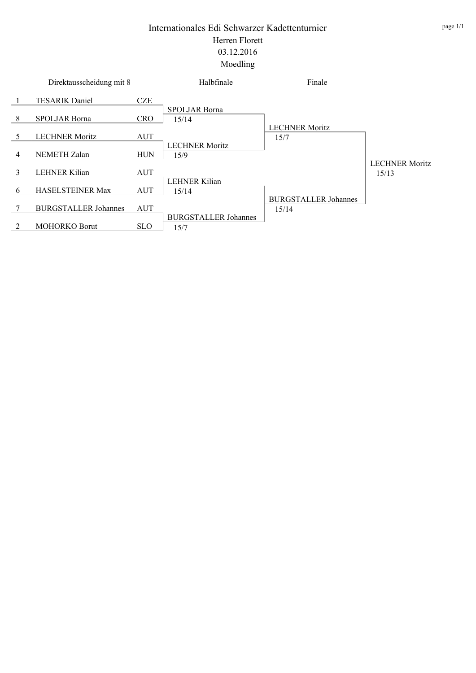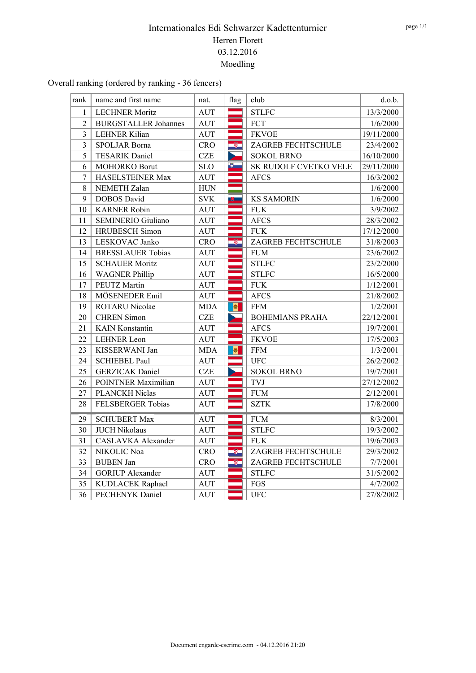Overall ranking (ordered by ranking - 36 fencers)

| rank           | name and first name         | nat.        | flag                     |           | club                   | d.o.b.     |
|----------------|-----------------------------|-------------|--------------------------|-----------|------------------------|------------|
| $\mathbf{1}$   | <b>LECHNER Moritz</b>       | <b>AUT</b>  |                          |           | <b>STLFC</b>           | 13/3/2000  |
| $\overline{2}$ | <b>BURGSTALLER Johannes</b> | <b>AUT</b>  |                          |           | FCT                    | 1/6/2000   |
| 3              | <b>LEHNER Kilian</b>        | <b>AUT</b>  |                          |           | <b>FKVOE</b>           | 19/11/2000 |
| $\overline{3}$ | SPOLJAR Borna               | <b>CRO</b>  |                          | $\bullet$ | ZAGREB FECHTSCHULE     | 23/4/2002  |
| 5              | <b>TESARIK Daniel</b>       | <b>CZE</b>  |                          |           | <b>SOKOL BRNO</b>      | 16/10/2000 |
| 6              | MOHORKO Borut               | <b>SLO</b>  | $\bullet$                |           | SK RUDOLF CVETKO VELE  | 29/11/2000 |
| $\overline{7}$ | HASELSTEINER Max            | <b>AUT</b>  |                          |           | <b>AFCS</b>            | 16/3/2002  |
| 8              | NEMETH Zalan                | ${\rm HUN}$ |                          |           |                        | 1/6/2000   |
| 9              | <b>DOBOS</b> David          | <b>SVK</b>  | $\bullet$ $\blacksquare$ |           | <b>KS SAMORIN</b>      | 1/6/2000   |
| 10             | <b>KARNER Robin</b>         | <b>AUT</b>  |                          |           | <b>FUK</b>             | 3/9/2002   |
| 11             | <b>SEMINERIO Giuliano</b>   | <b>AUT</b>  |                          |           | <b>AFCS</b>            | 28/3/2002  |
| 12             | <b>HRUBESCH</b> Simon       | <b>AUT</b>  |                          |           | <b>FUK</b>             | 17/12/2000 |
| 13             | LESKOVAC Janko              | <b>CRO</b>  |                          | -81       | ZAGREB FECHTSCHULE     | 31/8/2003  |
| 14             | <b>BRESSLAUER Tobias</b>    | <b>AUT</b>  |                          |           | <b>FUM</b>             | 23/6/2002  |
| 15             | <b>SCHAUER Moritz</b>       | <b>AUT</b>  |                          |           | <b>STLFC</b>           | 23/2/2000  |
| 16             | <b>WAGNER Phillip</b>       | <b>AUT</b>  |                          |           | <b>STLFC</b>           | 16/5/2000  |
| 17             | PEUTZ Martin                | <b>AUT</b>  |                          |           | <b>FUK</b>             | 1/12/2001  |
| 18             | MÖSENEDER Emil              | <b>AUT</b>  |                          |           | <b>AFCS</b>            | 21/8/2002  |
| 19             | ROTARU Nicolae              | <b>MDA</b>  | ø                        |           | <b>FFM</b>             | 1/2/2001   |
| 20             | <b>CHREN</b> Simon          | <b>CZE</b>  |                          |           | <b>BOHEMIANS PRAHA</b> | 22/12/2001 |
| 21             | <b>KAIN</b> Konstantin      | <b>AUT</b>  |                          |           | <b>AFCS</b>            | 19/7/2001  |
| 22             | <b>LEHNER Leon</b>          | <b>AUT</b>  |                          |           | <b>FKVOE</b>           | 17/5/2003  |
| 23             | KISSERWANI Jan              | <b>MDA</b>  | ø                        |           | <b>FFM</b>             | 1/3/2001   |
| 24             | <b>SCHIEBEL Paul</b>        | <b>AUT</b>  |                          |           | <b>UFC</b>             | 26/2/2002  |
| 25             | <b>GERZICAK</b> Daniel      | <b>CZE</b>  |                          |           | <b>SOKOL BRNO</b>      | 19/7/2001  |
| 26             | POINTNER Maximilian         | <b>AUT</b>  |                          |           | <b>TVJ</b>             | 27/12/2002 |
| 27             | PLANCKH Niclas              | <b>AUT</b>  |                          |           | <b>FUM</b>             | 2/12/2001  |
| 28             | FELSBERGER Tobias           | <b>AUT</b>  |                          |           | <b>SZTK</b>            | 17/8/2000  |
| 29             | <b>SCHUBERT Max</b>         | <b>AUT</b>  |                          |           | <b>FUM</b>             | 8/3/2001   |
| 30             | <b>JUCH Nikolaus</b>        | <b>AUT</b>  |                          |           | <b>STLFC</b>           | 19/3/2002  |
| 31             | <b>CASLAVKA</b> Alexander   | <b>AUT</b>  |                          |           | <b>FUK</b>             | 19/6/2003  |
| 32             | NIKOLIC Noa                 | <b>CRO</b>  |                          | -81       | ZAGREB FECHTSCHULE     | 29/3/2002  |
| 33             | <b>BUBEN Jan</b>            | <b>CRO</b>  |                          | -81       | ZAGREB FECHTSCHULE     | 7/7/2001   |
| 34             | <b>GORIUP</b> Alexander     | <b>AUT</b>  |                          |           | <b>STLFC</b>           | 31/5/2002  |
| 35             | KUDLACEK Raphael            | AUT         |                          |           | FGS                    | 4/7/2002   |
| 36             | PECHENYK Daniel             | <b>AUT</b>  |                          |           | <b>UFC</b>             | 27/8/2002  |